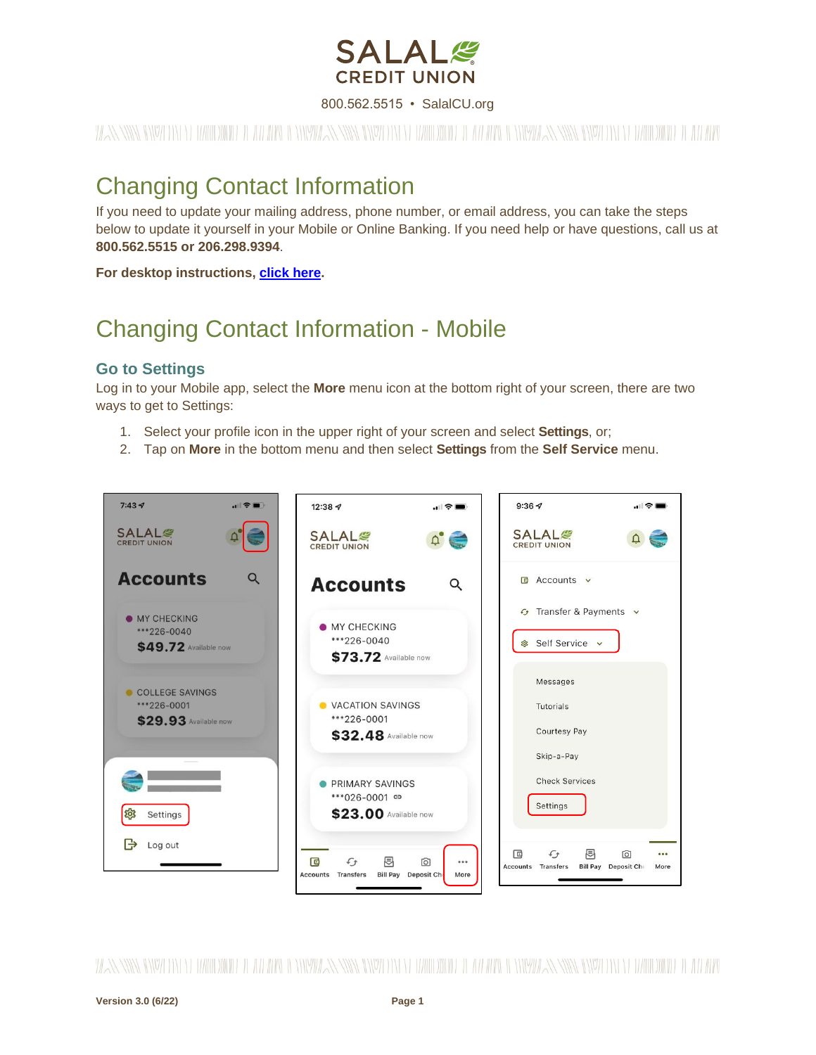

#### 800.562.5515 • SalalCU.org

WASSERMENT ON THE WILL BE THE WILL BE THE WILL ASSERT TO THE WILL BE THE WILL BE STARTED ON THE WILL BE THE WILL

# Changing Contact Information

If you need to update your mailing address, phone number, or email address, you can take the steps below to update it yourself in your Mobile or Online Banking. If you need help or have questions, call us at **800.562.5515 or 206.298.9394**.

**For desktop instructions, [click here.](#page-4-0)**

# Changing Contact Information - Mobile

#### **Go to Settings**

Log in to your Mobile app, select the **More** menu icon at the bottom right of your screen, there are two ways to get to Settings:

- 1. Select your profile icon in the upper right of your screen and select **Settings**, or;
- 2. Tap on **More** in the bottom menu and then select **Settings** from the **Self Service** menu.



WANNING INVERTING WITH THE WITH A WINDOW AND INDEPENDENCE IN THE WITH THE WITH AN ANYWAY NING INVERTING WITH THE ALL WAND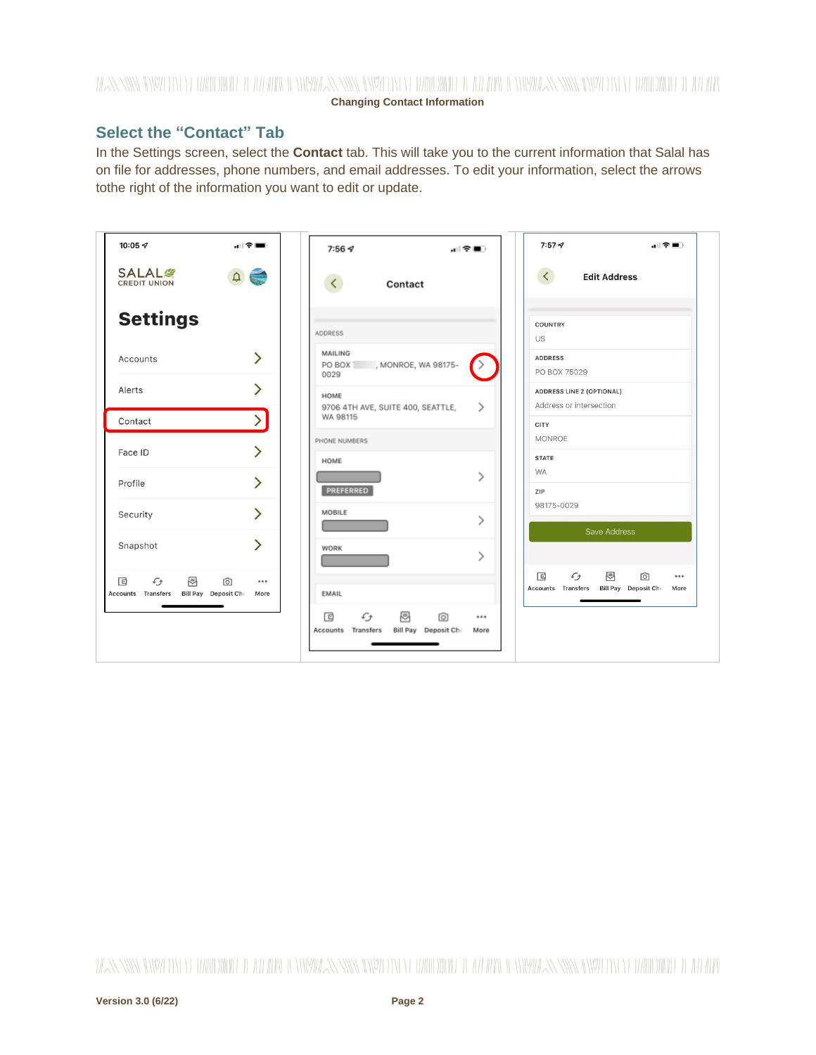## WANNING CHARLEN DIE HELLEN DER HELLEN IN HINDELANDEN GINZU DIE HELLEN DIE HELLEN IN HINDELANDING GINZU DIE HELLEN DIE HELLEN **Changing Contact Information**

## **Select the "Contact" Tab**

In the Settings screen, select the **Contact** tab. This will take you to the current information that Salal has on file for addresses, phone numbers, and email addresses. To edit your information, select the arrows tothe right of the information you want to edit or update.

| 10:05 $\mathcal{D}$                                                                                  | 全■                           | 7:564                                                                                    | 레오■∑          | $7:57 - 7$                                             | , il 守■                                         |
|------------------------------------------------------------------------------------------------------|------------------------------|------------------------------------------------------------------------------------------|---------------|--------------------------------------------------------|-------------------------------------------------|
| <b>SALAL<sup>®</sup></b><br><b>CREDIT UNION</b>                                                      | $\equiv$                     | ≺<br>Contact                                                                             |               | $\langle$                                              | <b>Edit Address</b>                             |
| <b>Settings</b>                                                                                      |                              | ADDRESS                                                                                  |               | COUNTRY<br>US                                          |                                                 |
| Accounts                                                                                             | ゝ                            | MAILING<br>PO BOX   , MONROE, WA 98175-<br>0029                                          |               | <b>ADDRESS</b><br>PO BOX 75029                         |                                                 |
| Alerts                                                                                               | ゝ                            | HOME<br>9706 4TH AVE, SUITE 400, SEATTLE,                                                | ⋋             | ADDRESS LINE 2 (OPTIONAL)<br>Address or intersection   |                                                 |
| Contact                                                                                              |                              | WA 98115<br>PHONE NUMBERS                                                                |               | <b>CITY</b><br><b>MONROE</b>                           |                                                 |
| Face ID                                                                                              | ゝ                            | HOME                                                                                     |               | <b>STATE</b><br><b>WA</b>                              |                                                 |
| Profile                                                                                              | $\left\langle \right\rangle$ | PREFERRED                                                                                | ゝ             | ZIP                                                    |                                                 |
| Security                                                                                             | $\mathcal{P}$                | MOBILE                                                                                   | $\mathcal{P}$ | 98175-0029                                             | Save Address                                    |
| Snapshot                                                                                             | ゝ                            | <b>WORK</b>                                                                              | $\mathcal{P}$ |                                                        |                                                 |
| 囘<br>$\Box$<br>$\mathcal{L}_{\mathcal{F}}$<br>向<br>Accounts Transfers<br><b>Bill Pay</b> Deposit Che | <br>More                     | <b>EMAIL</b>                                                                             |               | 同<br>$\mathcal{L}_{\mathcal{F}}$<br>Accounts Transfers | 囘<br>向<br>0.0.0<br>Bill Pay Deposit Che<br>More |
|                                                                                                      |                              | 囘<br>同<br>$\mathcal{L}_{\mathcal{F}}$<br>ा<br>Accounts Transfers<br>Bill Pay Deposit Che | <br>More      |                                                        |                                                 |
|                                                                                                      |                              |                                                                                          |               |                                                        |                                                 |

WANNING INVERTING EUROPEEN LEE ALLEEN INVERSING INVERTING TERRITORIAL LEE ALLEEN INVERSING INVERTING TERRITORIAL LEE ALLEEN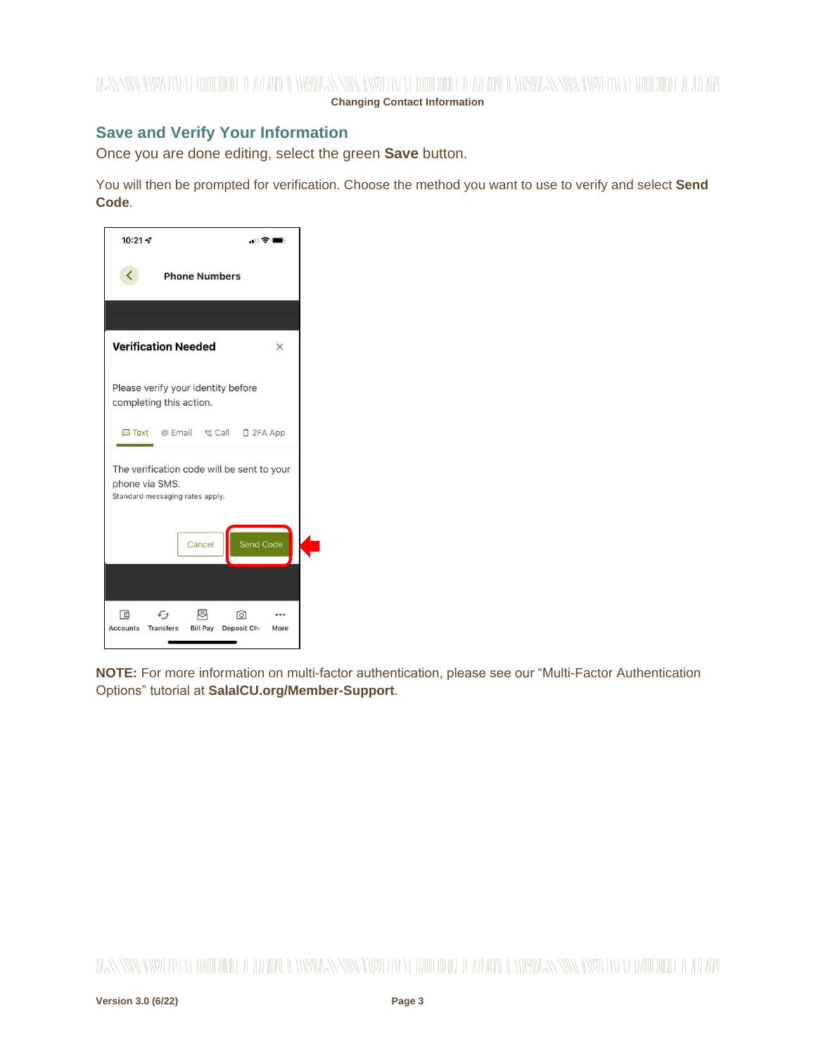## **Save and Verify Your Information**

Once you are done editing, select the green **Save** button.

You will then be prompted for verification. Choose the method you want to use to verify and select **Send Code**.



**NOTE:** For more information on multi-factor authentication, please see our "Multi-Factor Authentication Options" tutorial at **SalalCU.org/Member-Support**.

WANNING INVERSION OF HALLOWIDE IL AN APOLI ONIVATAN INVERSION OF HALLOWIDE IL AN ARCHEOLOGICAN SING INVERSION ON DE ANNO WIDE IL AN ARC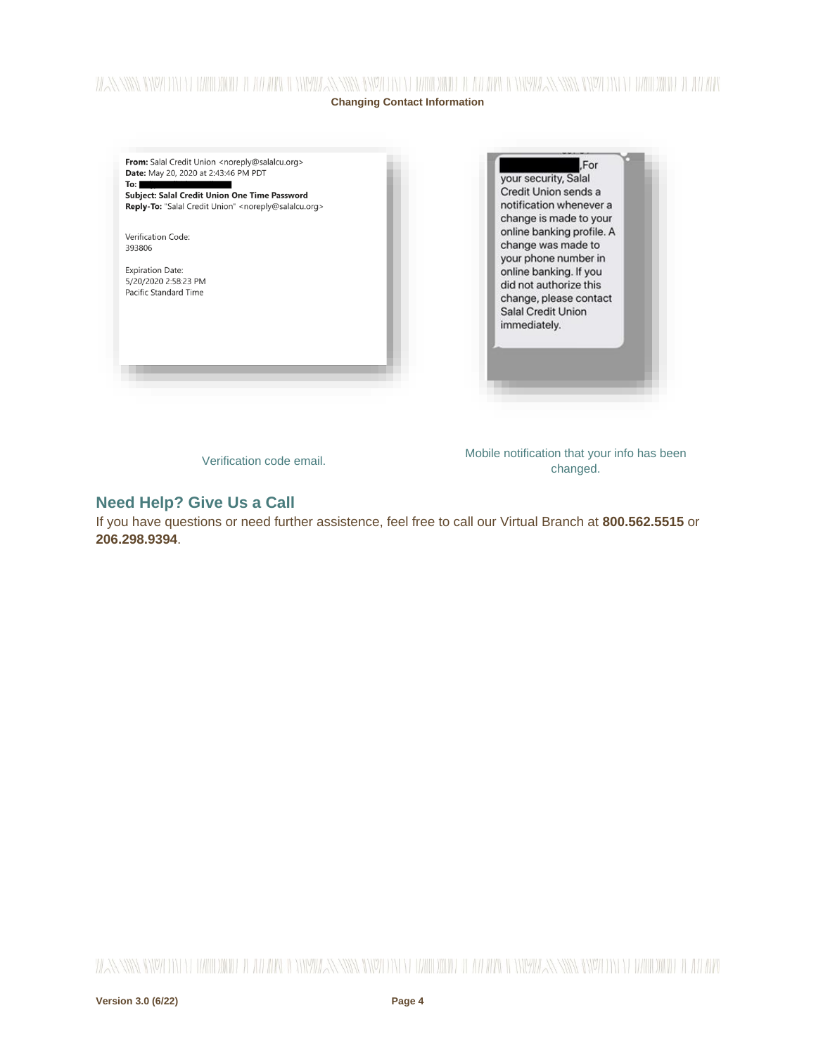## WANNING DIVOLENT EL HARDDINIEL IL ATEAPEN TENNIMAN NIVEL ENTELLE HARDDINIEL IL ATEAPEN IL ENNIMAN NIVELENTE ELEMENTODIGIEL IL ATEAPEN **Changing Contact Information**

From: Salal Credit Union <noreply@salalcu.org> Date: May 20, 2020 at 2:43:46 PM PDT  $To: \blacksquare$ 

Subject: Salal Credit Union One Time Password Reply-To: "Salal Credit Union" <noreply@salalcu.org>

Verification Code: 393806

**Expiration Date:** 5/20/2020 2:58:23 PM Pacific Standard Time

For your security, Salal Credit Union sends a notification whenever a change is made to your online banking profile. A change was made to your phone number in online banking. If you did not authorize this change, please contact Salal Credit Union immediately.

Verification code email. Mobile notification that your info has been changed.

## **Need Help? Give Us a Call**

If you have questions or need further assistence, feel free to call our Virtual Branch at **800.562.5515** or **206.298.9394**.

WANNING INVERSION OF HALLOWIDE IL AN APOLI ONIVATAN INVERSION OF HALLOWIDE IL AN ARCHEOLOGICAN SING INVERSION ON DE ANNO WIDE IL AN ARC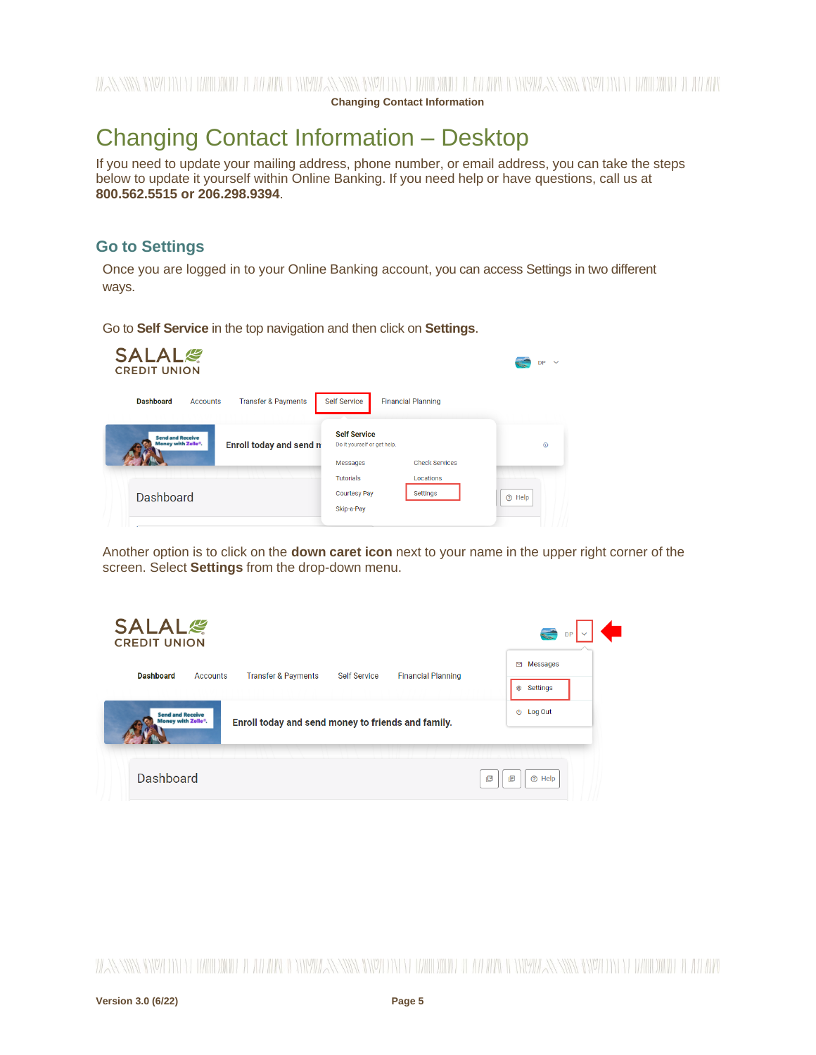**Changing Contact Information**

# <span id="page-4-0"></span>Changing Contact Information – Desktop

If you need to update your mailing address, phone number, or email address, you can take the steps below to update it yourself within Online Banking. If you need help or have questions, call us at **800.562.5515 or 206.298.9394**.

## **Go to Settings**

Once you are logged in to your Online Banking account, you can access Settings in two different ways.

Go to **Self Service** in the top navigation and then click on **Settings**.

| <b>SALAL</b> &<br><b>CREDIT UNION</b>                                    |                                                    | $\ddotmark$<br><b>DP</b> |
|--------------------------------------------------------------------------|----------------------------------------------------|--------------------------|
| <b>Transfer &amp; Payments</b><br><b>Dashboard</b><br>Accounts           | <b>Self Service</b><br><b>Financial Planning</b>   |                          |
| <b>Send and Receive</b><br>Money with Zelle®.<br>Enroll today and send n | <b>Self Service</b><br>Do it yourself or get help. | $\odot$                  |
|                                                                          | <b>Check Services</b><br><b>Messages</b>           |                          |
|                                                                          | <b>Tutorials</b><br>Locations                      |                          |
| Dashboard                                                                | <b>Courtesy Pay</b><br>Settings                    | <sub>(?)</sub> Help      |
|                                                                          | Skip-a-Pay                                         |                          |
|                                                                          |                                                    |                          |

Another option is to click on the **down caret icon** next to your name in the upper right corner of the screen. Select **Settings** from the drop-down menu.

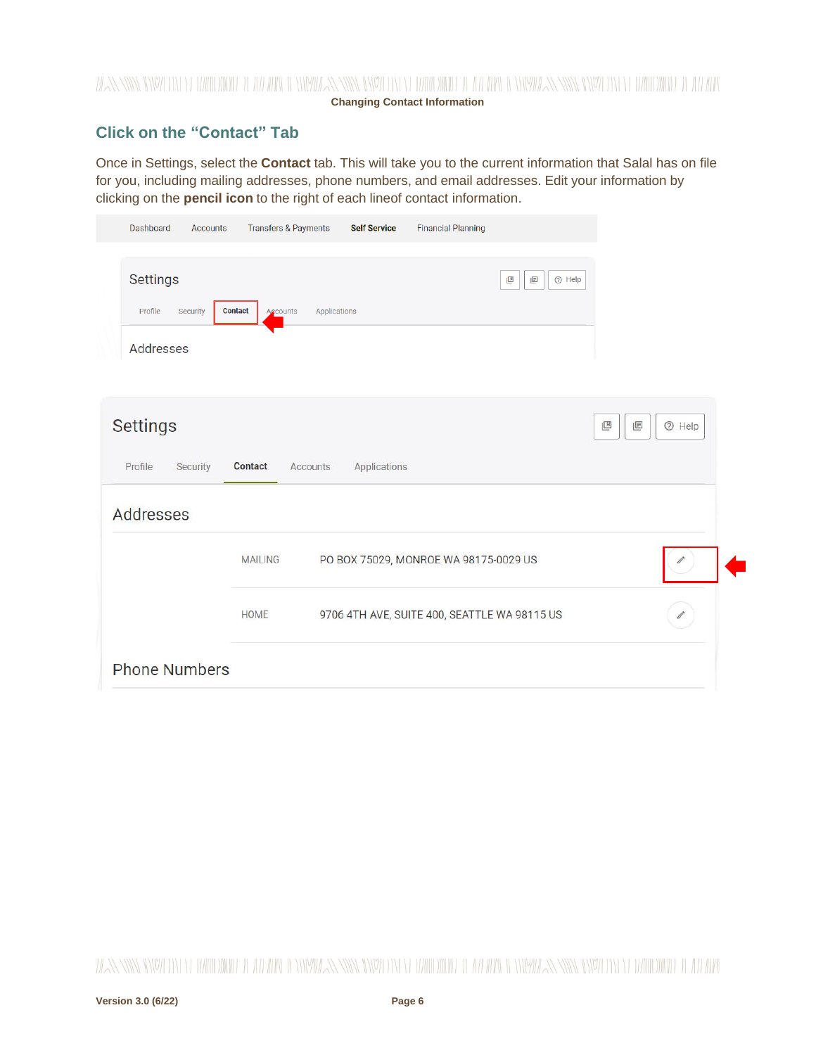## WANNING CHARLEN DIE HELLEN DER HELLEN IN HINDELANDEN GINZU DIE HELLEN DIE HELLEN IN HINDELANDING GINZU DIE HELLEN DIE HELLEN **Changing Contact Information**

# **Click on the "Contact" Tab**

Once in Settings, select the **Contact** tab. This will take you to the current information that Salal has on file for you, including mailing addresses, phone numbers, and email addresses. Edit your information by clicking on the **pencil icon** to the right of each lineof contact information.

| Dashboard<br>Accounts                                                | <b>Transfers &amp; Payments</b><br><b>Self Service</b> | <b>Financial Planning</b>                    |                          |
|----------------------------------------------------------------------|--------------------------------------------------------|----------------------------------------------|--------------------------|
| <b>Settings</b><br>Profile<br><b>Contact</b><br>Security<br>Accounts | Applications                                           | 画<br>凹                                       | <b><sup>⑦</sup></b> Help |
| Addresses                                                            |                                                        |                                              |                          |
| <b>Settings</b><br>Profile<br>Security<br>Contact                    | Applications<br>Accounts                               |                                              | 凹<br>回<br>$@$ Help       |
| Addresses                                                            |                                                        |                                              |                          |
| <b>MAILING</b>                                                       |                                                        | PO BOX 75029, MONROE WA 98175-0029 US        |                          |
| <b>HOME</b>                                                          |                                                        | 9706 4TH AVE, SUITE 400, SEATTLE WA 98115 US |                          |
| <b>Phone Numbers</b>                                                 |                                                        |                                              |                          |

WANNING INVERTING EUROPEEN LEE ALLEEN INVERSING INVERTING TERRITORIAL LEE ALLEEN INVERSING INVERTING TERRITORIAL LEE ALLEEN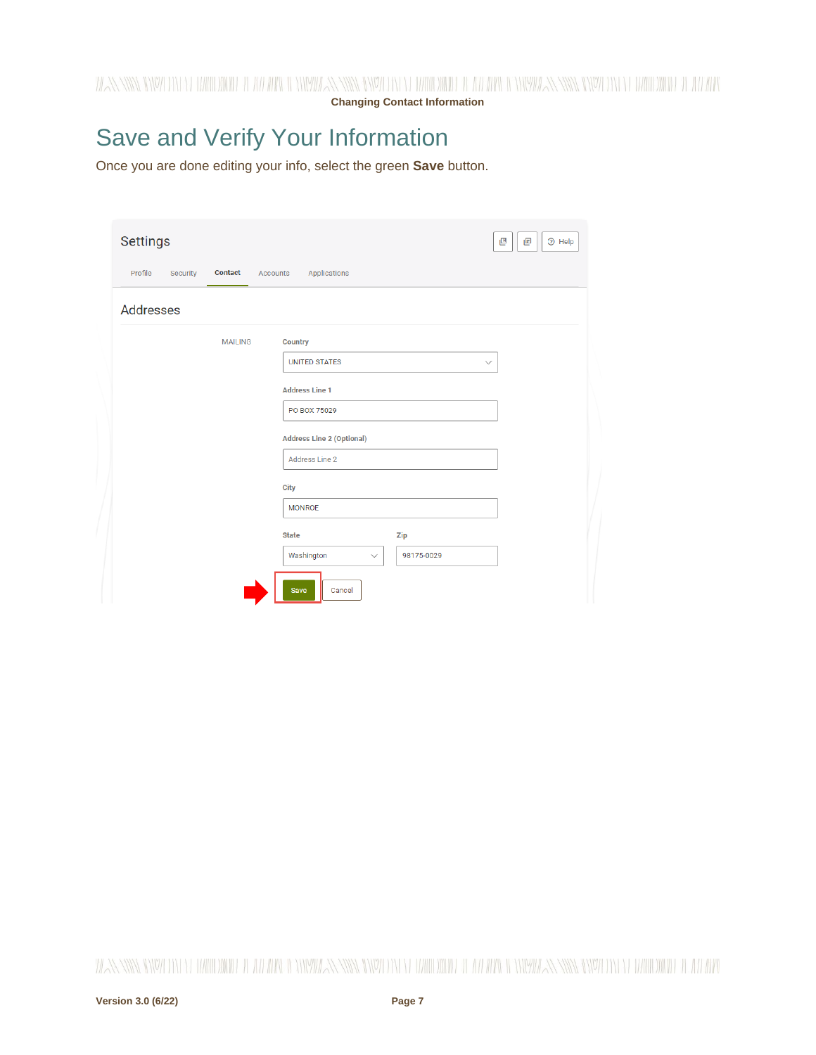WANNING CHARLEN DI WATER WELL AND THE CHARLEN SENIOR CHARLEN WITH A WATER OF THE WARDER WITH NEW YORK CHARLEN WITH A WARD OF THE WITH

**Changing Contact Information**

# Save and Verify Your Information

Once you are done editing your info, select the green **Save** button.

| <b>Settings</b>                                                   | 凹<br>画<br><b><sup>⑦</sup></b> Help |
|-------------------------------------------------------------------|------------------------------------|
| <b>Contact</b><br>Profile<br>Security<br>Applications<br>Accounts |                                    |
| <b>Addresses</b>                                                  |                                    |
| <b>MAILING</b><br>Country<br><b>UNITED STATES</b>                 | $\checkmark$                       |
| <b>Address Line 1</b><br>PO BOX 75029                             |                                    |
| <b>Address Line 2 (Optional)</b>                                  |                                    |
| Address Line 2<br>City                                            |                                    |
| <b>MONROE</b><br><b>State</b>                                     |                                    |
| <b>Zip</b><br>Washington<br>98175-0029<br>$\checkmark$            |                                    |
| <b>Save</b><br>Cancel                                             |                                    |

WANNING INVERTING EUROPEEN LEE ALLEEN INVERSING INVERTING TERRITORIAL LEE ALLEEN INVERSING INVERTING TERRITORIAL LEE ALLEEN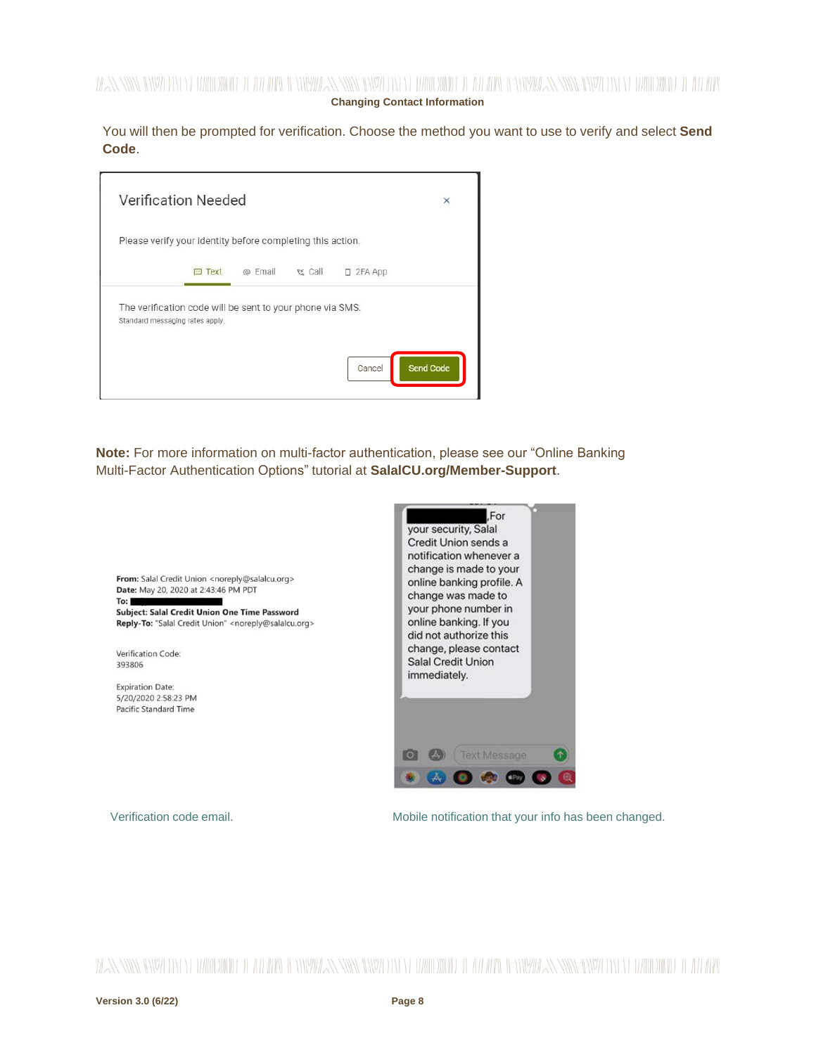### WANNING DIVOLENT EL HARDDINIEL IL ATEAPEN TENNIMAN NIVEL ENTELLE HARDDINIEL IL ATEAPEN IL ENNIMAN NIVELENTE ELEMENTODIGIEL IL ATEAPEN **Changing Contact Information**

You will then be prompted for verification. Choose the method you want to use to verify and select **Send Code**.

| <b>Verification Needed</b>                                                                   |                 |         |         |           | ×         |
|----------------------------------------------------------------------------------------------|-----------------|---------|---------|-----------|-----------|
| Please verify your identity before completing this action.                                   |                 |         |         |           |           |
|                                                                                              | Text<br>$+ + +$ | @ Email | ९≚ Call | D 2FA App |           |
| The verification code will be sent to your phone via SMS.<br>Standard messaging rates apply. |                 |         |         |           |           |
|                                                                                              |                 |         |         | Cancel    | Send Code |

**Note:** For more information on multi-factor authentication, please see our "Online Banking Multi-Factor Authentication Options" tutorial at **SalalCU.org/Member-Support**.



Verification code email. Mobile notification that your info has been changed.